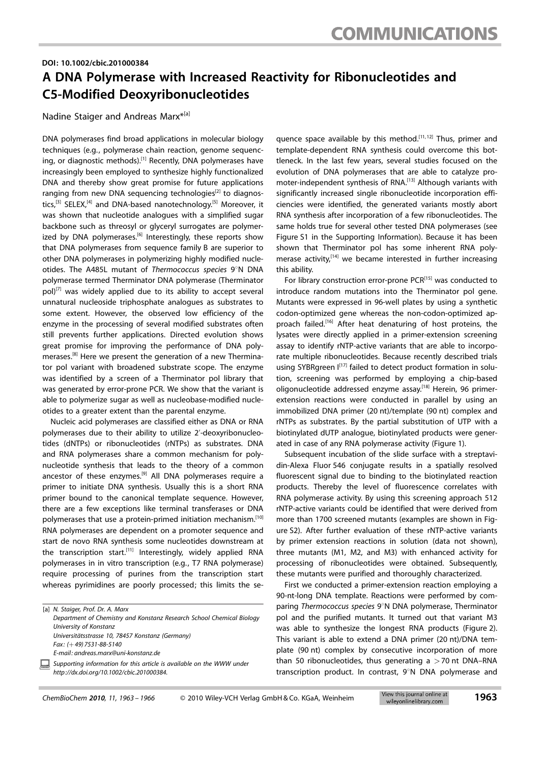#### DOI: 10.1002/cbic.201000384

### A DNA Polymerase with Increased Reactivity for Ribonucleotides and C5-Modified Deoxyribonucleotides

Nadine Staiger and Andreas Marx\*<sup>[a]</sup>

DNA polymerases find broad applications in molecular biology techniques (e.g., polymerase chain reaction, genome sequencing, or diagnostic methods).<sup>[1]</sup> Recently, DNA polymerases have increasingly been employed to synthesize highly functionalized DNA and thereby show great promise for future applications ranging from new DNA sequencing technologies<sup>[2]</sup> to diagnostics,<sup>[3]</sup> SELEX,<sup>[4]</sup> and DNA-based nanotechnology.<sup>[5]</sup> Moreover, it was shown that nucleotide analogues with a simplified sugar backbone such as threosyl or glyceryl surrogates are polymerized by DNA polymerases.<sup>[6]</sup> Interestingly, these reports show that DNA polymerases from sequence family B are superior to other DNA polymerases in polymerizing highly modified nucleotides. The A485L mutant of Thermococcus species 9°N DNA polymerase termed Therminator DNA polymerase (Therminator  $pol[7]$  was widely applied due to its ability to accept several unnatural nucleoside triphosphate analogues as substrates to some extent. However, the observed low efficiency of the enzyme in the processing of several modified substrates often still prevents further applications. Directed evolution shows great promise for improving the performance of DNA polymerases.<sup>[8]</sup> Here we present the generation of a new Therminator pol variant with broadened substrate scope. The enzyme was identified by a screen of a Therminator pol library that was generated by error-prone PCR. We show that the variant is able to polymerize sugar as well as nucleobase-modified nucleotides to a greater extent than the parental enzyme.

Nucleic acid polymerases are classified either as DNA or RNA polymerases due to their ability to utilize 2'-deoxyribonucleotides (dNTPs) or ribonucleotides (rNTPs) as substrates. DNA and RNA polymerases share a common mechanism for polynucleotide synthesis that leads to the theory of a common ancestor of these enzymes.<sup>[9]</sup> All DNA polymerases require a primer to initiate DNA synthesis. Usually this is a short RNA primer bound to the canonical template sequence. However, there are a few exceptions like terminal transferases or DNA polymerases that use a protein-primed initiation mechanism.[10] RNA polymerases are dependent on a promoter sequence and start de novo RNA synthesis some nucleotides downstream at the transcription start.<sup>[11]</sup> Interestingly, widely applied RNA polymerases in in vitro transcription (e.g., T7 RNA polymerase) require processing of purines from the transcription start whereas pyrimidines are poorly processed; this limits the se-

[a] N. Staiger, Prof. Dr. A. Marx Department of Chemistry and Konstanz Research School Chemical Biology University of Konstanz Universitätsstrasse 10, 78457 Konstanz (Germany) Fax: (+49) 7531-88-5140 E-mail: andreas.marx@uni-konstanz.de Supporting information for this article is available on the WWW under

same holds true for several other tested DNA polymerases (see Figure S1 in the Supporting Information). Because it has been shown that Therminator pol has some inherent RNA polymerase activity,<sup>[14]</sup> we became interested in further increasing this ability. For library construction error-prone PCR<sup>[15]</sup> was conducted to introduce random mutations into the Therminator pol gene. Mutants were expressed in 96-well plates by using a synthetic codon-optimized gene whereas the non-codon-optimized ap-

proach failed.<sup>[16]</sup> After heat denaturing of host proteins, the lysates were directly applied in a primer-extension screening assay to identify rNTP-active variants that are able to incorporate multiple ribonucleotides. Because recently described trials using SYBRgreen I<sup>[17]</sup> failed to detect product formation in solution, screening was performed by employing a chip-based oligonucleotide addressed enzyme assay.<sup>[18]</sup> Herein, 96 primerextension reactions were conducted in parallel by using an immobilized DNA primer (20 nt)/template (90 nt) complex and rNTPs as substrates. By the partial substitution of UTP with a biotinylated dUTP analogue, biotinylated products were generated in case of any RNA polymerase activity (Figure 1).

quence space available by this method.<sup>[11,12]</sup> Thus, primer and template-dependent RNA synthesis could overcome this bottleneck. In the last few years, several studies focused on the evolution of DNA polymerases that are able to catalyze promoter-independent synthesis of RNA.<sup>[13]</sup> Although variants with significantly increased single ribonucleotide incorporation efficiencies were identified, the generated variants mostly abort RNA synthesis after incorporation of a few ribonucleotides. The

Subsequent incubation of the slide surface with a streptavidin-Alexa Fluor 546 conjugate results in a spatially resolved fluorescent signal due to binding to the biotinylated reaction products. Thereby the level of fluorescence correlates with RNA polymerase activity. By using this screening approach 512 rNTP-active variants could be identified that were derived from more than 1700 screened mutants (examples are shown in Figure S2). After further evaluation of these rNTP-active variants by primer extension reactions in solution (data not shown), three mutants (M1, M2, and M3) with enhanced activity for processing of ribonucleotides were obtained. Subsequently, these mutants were purified and thoroughly characterized.

First we conducted a primer-extension reaction employing a 90-nt-long DNA template. Reactions were performed by comparing Thermococcus species  $9^\circ$ N DNA polymerase, Therminator pol and the purified mutants. It turned out that variant M3 was able to synthesize the longest RNA products (Figure 2). This variant is able to extend a DNA primer (20 nt)/DNA template (90 nt) complex by consecutive incorporation of more than 50 ribonucleotides, thus generating  $a > 70$  nt DNA–RNA transcription product. In contrast,  $9^\circ N$  DNA polymerase and

http://dx.doi.org/10.1002/cbic.201000384.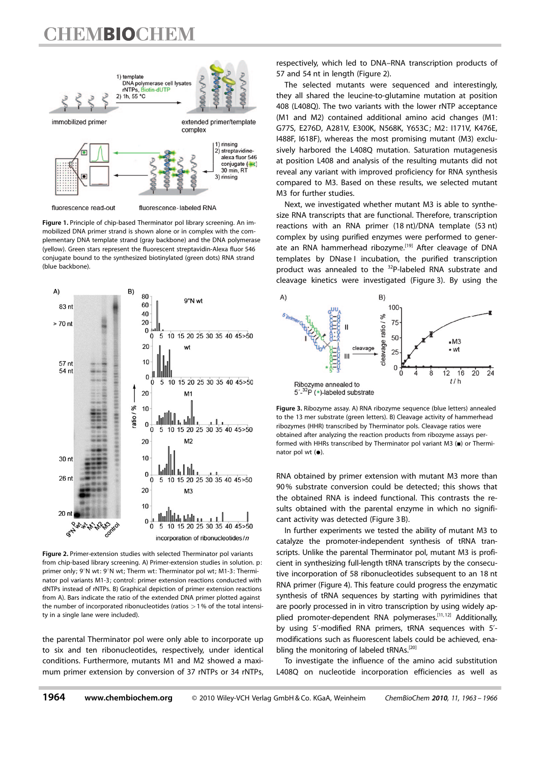## **TEMBIOCHEM**



Figure 1. Principle of chip-based Therminator pol library screening. An immobilized DNA primer strand is shown alone or in complex with the complementary DNA template strand (gray backbone) and the DNA polymerase (yellow). Green stars represent the fluorescent streptavidin-Alexa fluor 546 conjugate bound to the synthesized biotinylated (green dots) RNA strand (blue backbone).



Figure 2. Primer-extension studies with selected Therminator pol variants from chip-based library screening. A) Primer-extension studies in solution. p: primer only; 9°N wt: 9°N wt; Therm wt: Therminator pol wt; M1-3: Therminator pol variants M1-3; control: primer extension reactions conducted with dNTPs instead of rNTPs. B) Graphical depiction of primer extension reactions from A). Bars indicate the ratio of the extended DNA primer plotted against the number of incorporated ribonucleotides (ratios  $>1%$  of the total intensity in a single lane were included).

the parental Therminator pol were only able to incorporate up to six and ten ribonucleotides, respectively, under identical conditions. Furthermore, mutants M1 and M2 showed a maximum primer extension by conversion of 37 rNTPs or 34 rNTPs,

respectively, which led to DNA–RNA transcription products of 57 and 54 nt in length (Figure 2).

The selected mutants were sequenced and interestingly, they all shared the leucine-to-glutamine mutation at position 408 (L408Q). The two variants with the lower rNTP acceptance (M1 and M2) contained additional amino acid changes (M1: G77S, E276D, A281V, E300K, N568K, Y653C; M2: I171V, K476E, I488F, I618F), whereas the most promising mutant (M3) exclusively harbored the L408Q mutation. Saturation mutagenesis at position L408 and analysis of the resulting mutants did not reveal any variant with improved proficiency for RNA synthesis compared to M3. Based on these results, we selected mutant M3 for further studies.

Next, we investigated whether mutant M3 is able to synthesize RNA transcripts that are functional. Therefore, transcription reactions with an RNA primer (18 nt)/DNA template (53 nt) complex by using purified enzymes were performed to generate an RNA hammerhead ribozyme.[19] After cleavage of DNA templates by DNase I incubation, the purified transcription product was annealed to the <sup>32</sup>P-labeled RNA substrate and cleavage kinetics were investigated (Figure 3). By using the



Figure 3. Ribozyme assay. A) RNA ribozyme sequence (blue letters) annealed to the 13 mer substrate (green letters). B) Cleavage activity of hammerhead ribozymes (HHR) transcribed by Therminator pols. Cleavage ratios were obtained after analyzing the reaction products from ribozyme assays performed with HHRs transcribed by Therminator pol variant  $M3$  ( $\blacksquare$ ) or Therminator pol wt  $(\bullet)$ .

RNA obtained by primer extension with mutant M3 more than 90% substrate conversion could be detected; this shows that the obtained RNA is indeed functional. This contrasts the results obtained with the parental enzyme in which no significant activity was detected (Figure 3 B).

In further experiments we tested the ability of mutant M3 to catalyze the promoter-independent synthesis of tRNA transcripts. Unlike the parental Therminator pol, mutant M3 is proficient in synthesizing full-length tRNA transcripts by the consecutive incorporation of 58 ribonucleotides subsequent to an 18 nt RNA primer (Figure 4). This feature could progress the enzymatic synthesis of tRNA sequences by starting with pyrimidines that are poorly processed in in vitro transcription by using widely applied promoter-dependent RNA polymerases.<sup>[11,12]</sup> Additionally, by using 5'-modified RNA primers, tRNA sequences with 5' modifications such as fluorescent labels could be achieved, enabling the monitoring of labeled tRNAs.<sup>[20]</sup>

To investigate the influence of the amino acid substitution L408Q on nucleotide incorporation efficiencies as well as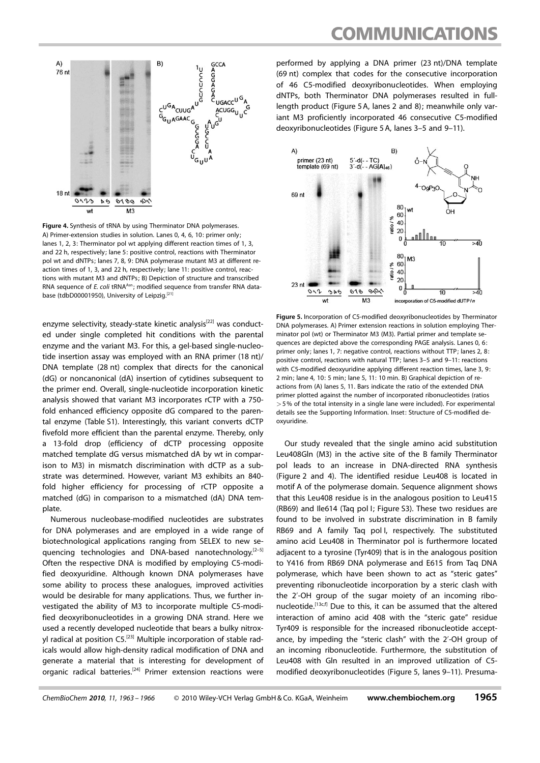

Figure 4. Synthesis of tRNA by using Therminator DNA polymerases. A) Primer-extension studies in solution. Lanes 0, 4, 6, 10: primer only; lanes 1, 2, 3: Therminator pol wt applying different reaction times of 1, 3, and 22 h, respectively; lane 5: positive control, reactions with Therminator pol wt and dNTPs; lanes 7, 8, 9: DNA polymerase mutant M3 at different reaction times of 1, 3, and 22 h, respectively; lane 11: positive control, reactions with mutant M3 and dNTPs; B) Depiction of structure and transcribed RNA sequence of E. coli tRNA<sup>Asn</sup>; modified sequence from transfer RNA database (tdbD00001950), University of Leipzig.<sup>[21</sup>]

enzyme selectivity, steady-state kinetic analysis<sup>[22]</sup> was conducted under single completed hit conditions with the parental enzyme and the variant M3. For this, a gel-based single-nucleotide insertion assay was employed with an RNA primer (18 nt)/ DNA template (28 nt) complex that directs for the canonical (dG) or noncanonical (dA) insertion of cytidines subsequent to the primer end. Overall, single-nucleotide incorporation kinetic analysis showed that variant M3 incorporates rCTP with a 750 fold enhanced efficiency opposite dG compared to the parental enzyme (Table S1). Interestingly, this variant converts dCTP fivefold more efficient than the parental enzyme. Thereby, only a 13-fold drop (efficiency of dCTP processing opposite matched template dG versus mismatched dA by wt in comparison to M3) in mismatch discrimination with dCTP as a substrate was determined. However, variant M3 exhibits an 840 fold higher efficiency for processing of rCTP opposite a matched (dG) in comparison to a mismatched (dA) DNA template.

Numerous nucleobase-modified nucleotides are substrates for DNA polymerases and are employed in a wide range of biotechnological applications ranging from SELEX to new sequencing technologies and DNA-based nanotechnology. $[2-5]$ Often the respective DNA is modified by employing C5-modified deoxyuridine. Although known DNA polymerases have some ability to process these analogues, improved activities would be desirable for many applications. Thus, we further investigated the ability of M3 to incorporate multiple C5-modified deoxyribonucleotides in a growing DNA strand. Here we used a recently developed nucleotide that bears a bulky nitroxyl radical at position C5.[23] Multiple incorporation of stable radicals would allow high-density radical modification of DNA and generate a material that is interesting for development of organic radical batteries.[24] Primer extension reactions were performed by applying a DNA primer (23 nt)/DNA template (69 nt) complex that codes for the consecutive incorporation of 46 C5-modified deoxyribonucleotides. When employing dNTPs, both Therminator DNA polymerases resulted in fulllength product (Figure 5 A, lanes 2 and 8); meanwhile only variant M3 proficiently incorporated 46 consecutive C5-modified deoxyribonucleotides (Figure 5 A, lanes 3–5 and 9–11).



Figure 5. Incorporation of C5-modified deoxyribonucleotides by Therminator DNA polymerases. A) Primer extension reactions in solution employing Therminator pol (wt) or Therminator M3 (M3). Partial primer and template sequences are depicted above the corresponding PAGE analysis. Lanes 0, 6: primer only; lanes 1, 7: negative control, reactions without TTP; lanes 2, 8: positive control, reactions with natural TTP; lanes 3–5 and 9–11: reactions with C5-modified deoxyuridine applying different reaction times, lane 3, 9: 2 min; lane 4, 10: 5 min; lane 5, 11: 10 min. B) Graphical depiction of reactions from (A) lanes 5, 11. Bars indicate the ratio of the extended DNA primer plotted against the number of incorporated ribonucleotides (ratios >5% of the total intensity in a single lane were included). For experimental details see the Supporting Information. Inset: Structure of C5-modified deoxyuridine.

Our study revealed that the single amino acid substitution Leu408Gln (M3) in the active site of the B family Therminator pol leads to an increase in DNA-directed RNA synthesis (Figure 2 and 4). The identified residue Leu408 is located in motif A of the polymerase domain. Sequence alignment shows that this Leu408 residue is in the analogous position to Leu415 (RB69) and Ile614 (Taq pol I; Figure S3). These two residues are found to be involved in substrate discrimination in B family RB69 and A family Taq pol I, respectively. The substituted amino acid Leu408 in Therminator pol is furthermore located adjacent to a tyrosine (Tyr409) that is in the analogous position to Y416 from RB69 DNA polymerase and E615 from Taq DNA polymerase, which have been shown to act as "steric gates" preventing ribonucleotide incorporation by a steric clash with the 2'-OH group of the sugar moiety of an incoming ribonucleotide.<sup>[13c,f]</sup> Due to this, it can be assumed that the altered interaction of amino acid 408 with the "steric gate" residue Tyr409 is responsible for the increased ribonucleotide acceptance, by impeding the "steric clash" with the 2'-OH group of an incoming ribonucleotide. Furthermore, the substitution of Leu408 with Gln resulted in an improved utilization of C5 modified deoxyribonucleotides (Figure 5, lanes 9–11). Presuma-